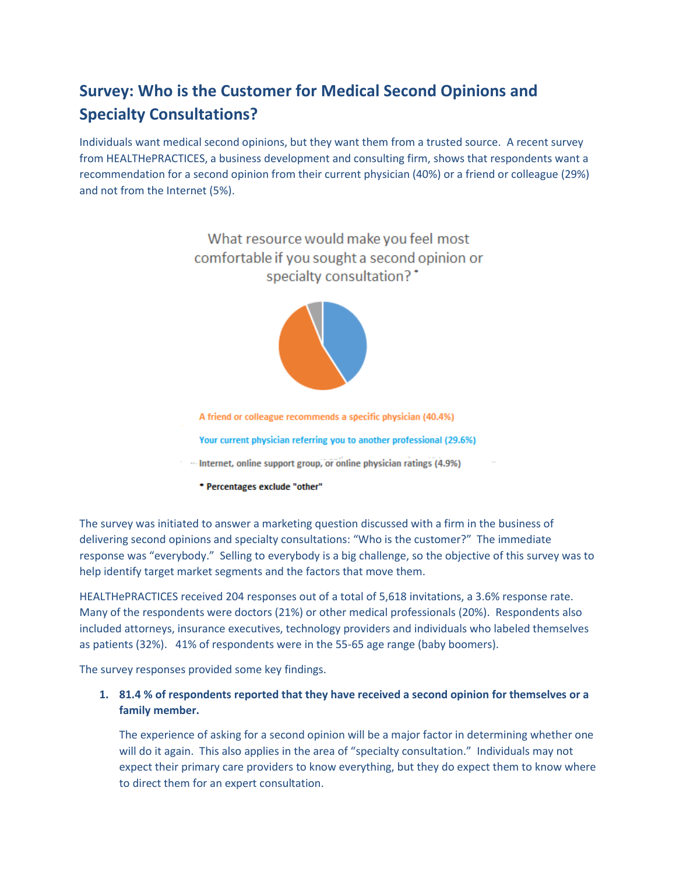# **Survey: Who is the Customer for Medical Second Opinions and Specialty Consultations?**

Individuals want medical second opinions, but they want them from a trusted source. A recent survey from HEALTHePRACTICES, a business development and consulting firm, shows that respondents want a recommendation for a second opinion from their current physician (40%) or a friend or colleague (29%) and not from the Internet (5%).

> What resource would make you feel most comfortable if you sought a second opinion or specialty consultation?<sup>\*</sup>



A friend or colleague recommends a specific physician (40.4%) Your current physician referring you to another professional (29.6%) Internet, online support group, or online physician ratings (4.9%)

\* Percentages exclude "other"

The survey was initiated to answer a marketing question discussed with a firm in the business of delivering second opinions and specialty consultations: "Who is the customer?" The immediate response was "everybody." Selling to everybody is a big challenge, so the objective of this survey was to help identify target market segments and the factors that move them.

HEALTHePRACTICES received 204 responses out of a total of 5,618 invitations, a 3.6% response rate. Many of the respondents were doctors (21%) or other medical professionals (20%). Respondents also included attorneys, insurance executives, technology providers and individuals who labeled themselves as patients (32%). 41% of respondents were in the 55-65 age range (baby boomers).

The survey responses provided some key findings.

## **1. 81.4 % of respondents reported that they have received a second opinion for themselves or a family member.**

The experience of asking for a second opinion will be a major factor in determining whether one will do it again. This also applies in the area of "specialty consultation." Individuals may not expect their primary care providers to know everything, but they do expect them to know where to direct them for an expert consultation.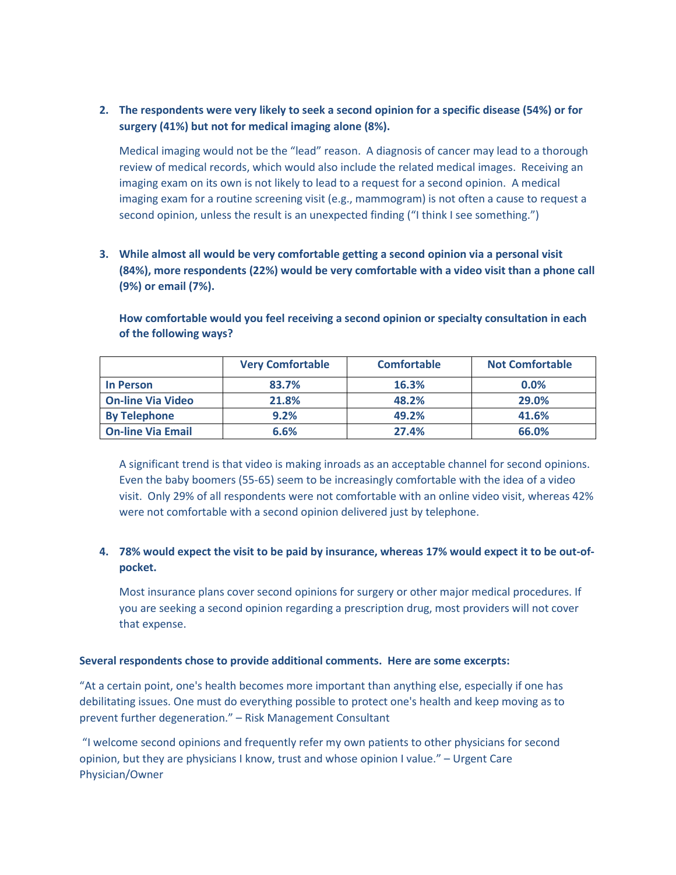### **2. The respondents were very likely to seek a second opinion for a specific disease (54%) or for surgery (41%) but not for medical imaging alone (8%).**

Medical imaging would not be the "lead" reason. A diagnosis of cancer may lead to a thorough review of medical records, which would also include the related medical images. Receiving an imaging exam on its own is not likely to lead to a request for a second opinion. A medical imaging exam for a routine screening visit (e.g., mammogram) is not often a cause to request a second opinion, unless the result is an unexpected finding ("I think I see something.")

**3. While almost all would be very comfortable getting a second opinion via a personal visit (84%), more respondents (22%) would be very comfortable with a video visit than a phone call (9%) or email (7%).**

|                          | <b>Very Comfortable</b> | <b>Comfortable</b> | <b>Not Comfortable</b> |
|--------------------------|-------------------------|--------------------|------------------------|
| In Person                | 83.7%                   | 16.3%              | 0.0%                   |
| <b>On-line Via Video</b> | 21.8%                   | 48.2%              | 29.0%                  |
| <b>By Telephone</b>      | 9.2%                    | 49.2%              | 41.6%                  |
| <b>On-line Via Email</b> | 6.6%                    | 27.4%              | 66.0%                  |

**How comfortable would you feel receiving a second opinion or specialty consultation in each of the following ways?** 

A significant trend is that video is making inroads as an acceptable channel for second opinions. Even the baby boomers (55-65) seem to be increasingly comfortable with the idea of a video visit. Only 29% of all respondents were not comfortable with an online video visit, whereas 42% were not comfortable with a second opinion delivered just by telephone.

## **4. 78% would expect the visit to be paid by insurance, whereas 17% would expect it to be out-ofpocket.**

Most insurance plans cover second opinions for surgery or other major medical procedures. If you are seeking a second opinion regarding a prescription drug, most providers will not cover that expense.

#### **Several respondents chose to provide additional comments. Here are some excerpts:**

"At a certain point, one's health becomes more important than anything else, especially if one has debilitating issues. One must do everything possible to protect one's health and keep moving as to prevent further degeneration." – Risk Management Consultant

"I welcome second opinions and frequently refer my own patients to other physicians for second opinion, but they are physicians I know, trust and whose opinion I value." – Urgent Care Physician/Owner